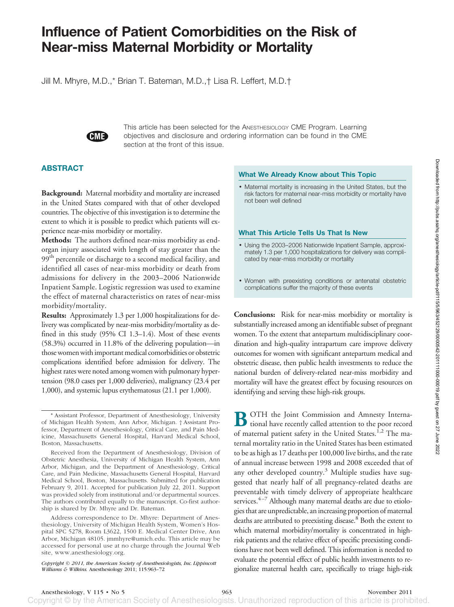# **Influence of Patient Comorbidities on the Risk of Near-miss Maternal Morbidity or Mortality**

Jill M. Mhyre, M.D.,\* Brian T. Bateman, M.D.,† Lisa R. Leffert, M.D.†



This article has been selected for the ANESTHESIOLOGY CME Program. Learning objectives and disclosure and ordering information can be found in the CME section at the front of this issue.

# **ABSTRACT**

**Background:** Maternal morbidity and mortality are increased in the United States compared with that of other developed countries. The objective of this investigation is to determine the extent to which it is possible to predict which patients will experience near-miss morbidity or mortality.

**Methods:** The authors defined near-miss morbidity as endorgan injury associated with length of stay greater than the 99<sup>th</sup> percentile or discharge to a second medical facility, and identified all cases of near-miss morbidity or death from admissions for delivery in the 2003–2006 Nationwide Inpatient Sample. Logistic regression was used to examine the effect of maternal characteristics on rates of near-miss morbidity/mortality.

**Results:** Approximately 1.3 per 1,000 hospitalizations for delivery was complicated by near-miss morbidity/mortality as defined in this study (95% CI 1.3–1.4). Most of these events (58.3%) occurred in 11.8% of the delivering population—in those women with important medical comorbidities or obstetric complications identified before admission for delivery. The highest rates were noted among women with pulmonary hypertension (98.0 cases per 1,000 deliveries), malignancy (23.4 per 1,000), and systemic lupus erythematosus (21.1 per 1,000).

\* Assistant Professor, Department of Anesthesiology, University of Michigan Health System, Ann Arbor, Michigan. † Assistant Professor, Department of Anesthesiology, Critical Care, and Pain Medicine, Massachusetts General Hospital, Harvard Medical School, Boston, Massachusetts.

Received from the Department of Anesthesiology, Division of Obstetric Anesthesia, University of Michigan Health System, Ann Arbor, Michigan, and the Department of Anesthesiology, Critical Care, and Pain Medicine, Massachusetts General Hospital, Harvard Medical School, Boston, Massachusetts. Submitted for publication February 9, 2011. Accepted for publication July 22, 2011. Support was provided solely from institutional and/or departmental sources. The authors contributed equally to the manuscript. Co-first authorship is shared by Dr. Mhyre and Dr. Bateman.

Address correspondence to Dr. Mhyre: Department of Anesthesiology, University of Michigan Health System, Women's Hospital SPC 5278, Room L3622, 1500 E. Medical Center Drive, Ann Arbor, Michigan 48105. jmmhyre@umich.edu. This article may be accessed for personal use at no charge through the Journal Web site, www.anesthesiology.org.

#### **What We Already Know about This Topic**

• Maternal mortality is increasing in the United States, but the risk factors for maternal near-miss morbidity or mortality have not been well defined

#### **What This Article Tells Us That Is New**

- Using the 2003–2006 Nationwide Inpatient Sample, approximately 1.3 per 1,000 hospitalizations for delivery was complicated by near-miss morbidity or mortality
- Women with preexisting conditions or antenatal obstetric complications suffer the majority of these events

**Conclusions:** Risk for near-miss morbidity or mortality is substantially increased among an identifiable subset of pregnant women. To the extent that antepartum multidisciplinary coordination and high-quality intrapartum care improve delivery outcomes for women with significant antepartum medical and obstetric disease, then public health investments to reduce the national burden of delivery-related near-miss morbidity and mortality will have the greatest effect by focusing resources on identifying and serving these high-risk groups.

**B** OTH the Joint Commission and Amnesty Interna-<br>tional have recently called attention to the access of tional have recently called attention to the poor record of maternal patient safety in the United States.<sup>1,2</sup> The maternal mortality ratio in the United States has been estimated to be as high as 17 deaths per 100,000 live births, and the rate of annual increase between 1998 and 2008 exceeded that of any other developed country.<sup>3</sup> Multiple studies have suggested that nearly half of all pregnancy-related deaths are preventable with timely delivery of appropriate healthcare services. $4-7$  Although many maternal deaths are due to etiologies that are unpredictable, an increasing proportion of maternal deaths are attributed to preexisting disease.<sup>8</sup> Both the extent to which maternal morbidity/mortality is concentrated in highrisk patients and the relative effect of specific preexisting conditions have not been well defined. This information is needed to evaluate the potential effect of public health investments to regionalize maternal health care, specifically to triage high-risk

Anesthesiology, V 115 • No 5<br>Copyright © by the American Society of Anesthesiologists. Unauthorized reproduction of this article is prohibited.

*Copyright © 2011, the American Society of Anesthesiologists, Inc. Lippincott Williams & Wilkins.* Anesthesiology 2011; 115:963–72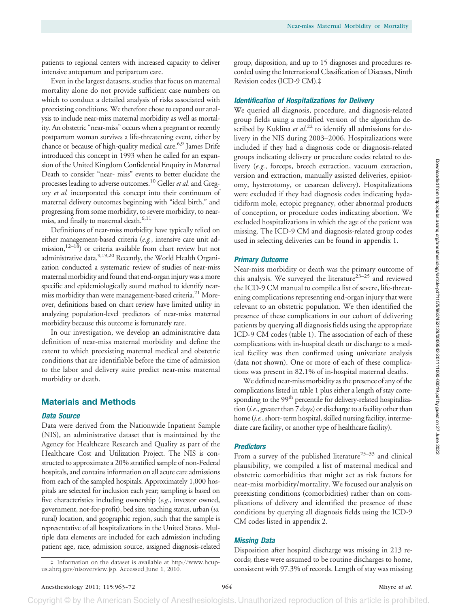patients to regional centers with increased capacity to deliver intensive antepartum and peripartum care.

Even in the largest datasets, studies that focus on maternal mortality alone do not provide sufficient case numbers on which to conduct a detailed analysis of risks associated with preexisting conditions. We therefore chose to expand our analysis to include near-miss maternal morbidity as well as mortality. An obstetric "near-miss" occurs when a pregnant or recently postpartum woman survives a life-threatening event, either by chance or because of high-quality medical care.<sup>6,9</sup> James Drife introduced this concept in 1993 when he called for an expansion of the United Kingdom Confidential Enquiry in Maternal Death to consider "near- miss" events to better elucidate the processes leading to adverse outcomes.10 Geller *et al.* and Gregory *et al.* incorporated this concept into their continuum of maternal delivery outcomes beginning with "ideal birth," and progressing from some morbidity, to severe morbidity, to nearmiss, and finally to maternal death.<sup>6,11</sup>

Definitions of near-miss morbidity have typically relied on either management-based criteria (*e.g.*, intensive care unit admission, $12-18$ ) or criteria available from chart review but not administrative data.<sup>9,19,20</sup> Recently, the World Health Organization conducted a systematic review of studies of near-miss maternal morbidity and found that end-organ injury was a more specific and epidemiologically sound method to identify nearmiss morbidity than were management-based criteria.<sup>21</sup> Moreover, definitions based on chart review have limited utility in analyzing population-level predictors of near-miss maternal morbidity because this outcome is fortunately rare.

In our investigation, we develop an administrative data definition of near-miss maternal morbidity and define the extent to which preexisting maternal medical and obstetric conditions that are identifiable before the time of admission to the labor and delivery suite predict near-miss maternal morbidity or death.

# **Materials and Methods**

# *Data Source*

Data were derived from the Nationwide Inpatient Sample (NIS), an administrative dataset that is maintained by the Agency for Healthcare Research and Quality as part of the Healthcare Cost and Utilization Project. The NIS is constructed to approximate a 20% stratified sample of non-Federal hospitals, and contains information on all acute care admissions from each of the sampled hospitals. Approximately 1,000 hospitals are selected for inclusion each year; sampling is based on five characteristics including ownership (*e.g.*, investor owned, government, not-for-profit), bed size, teaching status, urban (*vs.* rural) location, and geographic region, such that the sample is representative of all hospitalizations in the United States. Multiple data elements are included for each admission including patient age, race, admission source, assigned diagnosis-related

group, disposition, and up to 15 diagnoses and procedures recorded using the International Classification of Diseases, Ninth Revision codes (ICD-9 CM).‡

# *Identification of Hospitalizations for Delivery*

We queried all diagnosis, procedure, and diagnosis-related group fields using a modified version of the algorithm described by Kuklina *et al*.<sup>22</sup> to identify all admissions for delivery in the NIS during 2003–2006. Hospitalizations were included if they had a diagnosis code or diagnosis-related groups indicating delivery or procedure codes related to delivery (*e.g.*, forceps, breech extraction, vacuum extraction, version and extraction, manually assisted deliveries, episiotomy, hysterotomy, or cesarean delivery). Hospitalizations were excluded if they had diagnosis codes indicating hydatidiform mole, ectopic pregnancy, other abnormal products of conception, or procedure codes indicating abortion. We excluded hospitalizations in which the age of the patient was missing. The ICD-9 CM and diagnosis-related group codes used in selecting deliveries can be found in appendix 1.

#### *Primary Outcome*

Near-miss morbidity or death was the primary outcome of this analysis. We surveyed the literature<sup>23-25</sup> and reviewed the ICD-9 CM manual to compile a list of severe, life-threatening complications representing end-organ injury that were relevant to an obstetric population. We then identified the presence of these complications in our cohort of delivering patients by querying all diagnosis fields using the appropriate ICD-9 CM codes (table 1). The association of each of these complications with in-hospital death or discharge to a medical facility was then confirmed using univariate analysis (data not shown). One or more of each of these complications was present in 82.1% of in-hospital maternal deaths.

We defined near-miss morbidity as the presence of any of the complications listed in table 1 plus either a length of stay corresponding to the 99<sup>th</sup> percentile for delivery-related hospitalization (*i.e.*, greater than 7 days) or discharge to a facility other than home (*i.e.*, short- term hospital, skilled nursing facility, intermediate care facility, or another type of healthcare facility).

### *Predictors*

From a survey of the published literature<sup>25-33</sup> and clinical plausibility, we compiled a list of maternal medical and obstetric comorbidities that might act as risk factors for near-miss morbidity/mortality. We focused our analysis on preexisting conditions (comorbidities) rather than on complications of delivery and identified the presence of these conditions by querying all diagnosis fields using the ICD-9 CM codes listed in appendix 2.

### *Missing Data*

Disposition after hospital discharge was missing in 213 records; these were assumed to be routine discharges to home, consistent with 97.3% of records. Length of stay was missing

<sup>‡</sup> Information on the dataset is available at http://www.hcupus.ahrq.gov/nisoverview.jsp. Accessed June 1, 2010.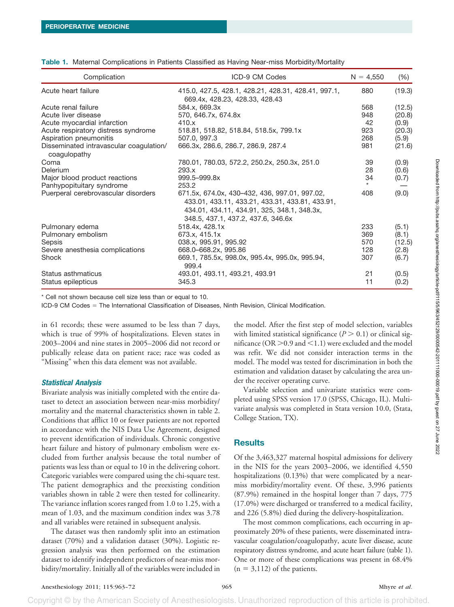| Complication                                            | ICD-9 CM Codes                                                                                                                                                                        | $N = 4,550$ | $(\%)$ |
|---------------------------------------------------------|---------------------------------------------------------------------------------------------------------------------------------------------------------------------------------------|-------------|--------|
| Acute heart failure                                     | 415.0, 427.5, 428.1, 428.21, 428.31, 428.41, 997.1,<br>669.4x, 428.23, 428.33, 428.43                                                                                                 | 880         | (19.3) |
| Acute renal failure                                     | 584.x, 669.3x                                                                                                                                                                         | 568         | (12.5) |
| Acute liver disease                                     | 570, 646.7x, 674.8x                                                                                                                                                                   | 948         | (20.8) |
| Acute myocardial infarction                             | 410.x                                                                                                                                                                                 | 42          | (0.9)  |
| Acute respiratory distress syndrome                     | 518.81, 518.82, 518.84, 518.5x, 799.1x                                                                                                                                                | 923         | (20.3) |
| Aspiration pneumonitis                                  | 507.0, 997.3                                                                                                                                                                          | 268         | (5.9)  |
| Disseminated intravascular coagulation/<br>coagulopathy | 666.3x, 286.6, 286.7, 286.9, 287.4                                                                                                                                                    | 981         | (21.6) |
| Coma                                                    | 780.01, 780.03, 572.2, 250.2x, 250.3x, 251.0                                                                                                                                          | 39          | (0.9)  |
| Delerium                                                | 293.x                                                                                                                                                                                 | 28          | (0.6)  |
| Major blood product reactions                           | 999.5-999.8x                                                                                                                                                                          | 34          | (0.7)  |
| Panhypopituitary syndrome                               | 253.2                                                                                                                                                                                 |             |        |
| Puerperal cerebrovascular disorders                     | 671.5x, 674.0x, 430-432, 436, 997.01, 997.02,<br>433.01, 433.11, 433.21, 433.31, 433.81, 433.91,<br>434.01, 434.11, 434.91, 325, 348.1, 348.3x,<br>348.5, 437.1, 437.2, 437.6, 346.6x | 408         | (9.0)  |
| Pulmonary edema                                         | 518.4x, 428.1x                                                                                                                                                                        | 233         | (5.1)  |
| Pulmonary embolism                                      | 673.x, 415.1x                                                                                                                                                                         | 369         | (8.1)  |
| Sepsis                                                  | 038.x, 995.91, 995.92                                                                                                                                                                 | 570         | (12.5) |
| Severe anesthesia complications                         | 668.0-668.2x, 995.86                                                                                                                                                                  | 128         | (2.8)  |
| Shock                                                   | 669.1, 785.5x, 998.0x, 995.4x, 995.0x, 995.94,<br>999.4                                                                                                                               | 307         | (6.7)  |
| Status asthmaticus                                      | 493.01, 493.11, 493.21, 493.91                                                                                                                                                        | 21          | (0.5)  |
| Status epilepticus                                      | 345.3                                                                                                                                                                                 | 11          | (0.2)  |

|  |  |  |  |  |  | Table 1. Maternal Complications in Patients Classified as Having Near-miss Morbidity/Mortality |
|--|--|--|--|--|--|------------------------------------------------------------------------------------------------|
|--|--|--|--|--|--|------------------------------------------------------------------------------------------------|

\* Cell not shown because cell size less than or equal to 10.

ICD-9 CM Codes = The International Classification of Diseases, Ninth Revision, Clinical Modification.

in 61 records; these were assumed to be less than 7 days, which is true of 99% of hospitalizations. Eleven states in 2003–2004 and nine states in 2005–2006 did not record or publically release data on patient race; race was coded as "Missing" when this data element was not available.

#### *Statistical Analysis*

Bivariate analysis was initially completed with the entire dataset to detect an association between near-miss morbidity/ mortality and the maternal characteristics shown in table 2. Conditions that afflict 10 or fewer patients are not reported in accordance with the NIS Data Use Agreement, designed to prevent identification of individuals. Chronic congestive heart failure and history of pulmonary embolism were excluded from further analysis because the total number of patients was less than or equal to 10 in the delivering cohort. Categoric variables were compared using the chi-square test. The patient demographics and the preexisting condition variables shown in table 2 were then tested for collinearity. The variance inflation scores ranged from 1.0 to 1.25, with a mean of 1.03, and the maximum condition index was 3.78 and all variables were retained in subsequent analysis.

The dataset was then randomly split into an estimation dataset (70%) and a validation dataset (30%). Logistic regression analysis was then performed on the estimation dataset to identify independent predictors of near-miss morbidity/mortality. Initially all of the variables were included in

the model. After the first step of model selection, variables with limited statistical significance  $(P > 0.1)$  or clinical significance ( $OR > 0.9$  and  $\leq 1.1$ ) were excluded and the model was refit. We did not consider interaction terms in the model. The model was tested for discrimination in both the estimation and validation dataset by calculating the area under the receiver operating curve.

Variable selection and univariate statistics were completed using SPSS version 17.0 (SPSS, Chicago, IL). Multivariate analysis was completed in Stata version 10.0, (Stata, College Station, TX).

## **Results**

Of the 3,463,327 maternal hospital admissions for delivery in the NIS for the years 2003–2006, we identified 4,550 hospitalizations (0.13%) that were complicated by a nearmiss morbidity/mortality event. Of these, 3,996 patients (87.9%) remained in the hospital longer than 7 days, 775 (17.0%) were discharged or transferred to a medical facility, and 226 (5.8%) died during the delivery-hospitalization.

The most common complications, each occurring in approximately 20% of these patients, were disseminated intravascular coagulation/coagulopathy, acute liver disease, acute respiratory distress syndrome, and acute heart failure (table 1). One or more of these complications was present in 68.4%  $(n = 3,112)$  of the patients.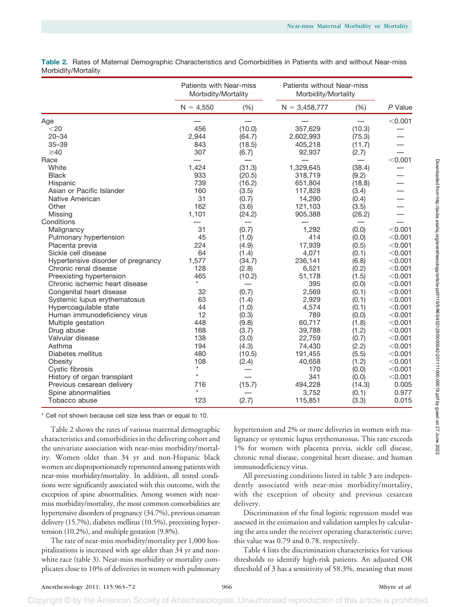|                                    | Patients with Near-miss<br>Morbidity/Mortality |        | Patients without Near-miss<br>Morbidity/Mortality |        |           |
|------------------------------------|------------------------------------------------|--------|---------------------------------------------------|--------|-----------|
|                                    | $N = 4,550$                                    | (% )   | $N = 3,458,777$                                   | (% )   | P Value   |
| Age                                |                                                |        |                                                   |        | < 0.001   |
| $<$ 20                             | 456                                            | (10.0) | 357,629                                           | (10.3) |           |
| $20 - 34$                          | 2,944                                          | (64.7) | 2,602,993                                         | (75.3) |           |
| $35 - 39$                          | 843                                            | (18.5) | 405,218                                           | (11.7) |           |
| $\geq 40$                          | 307                                            | (6.7)  | 92,937                                            | (2.7)  |           |
| Race                               |                                                |        |                                                   | —      | < 0.001   |
| White                              | 1,424                                          | (31.3) | 1,329,645                                         | (38.4) |           |
| <b>Black</b>                       | 933                                            | (20.5) | 318,719                                           | (9.2)  |           |
| Hispanic                           | 739                                            | (16.2) | 651,804                                           | (18.8) |           |
| Asian or Pacific Islander          | 160                                            | (3.5)  | 117,828                                           | (3.4)  | $\equiv$  |
| Native American                    | 31                                             | (0.7)  | 14,290                                            | (0.4)  |           |
| Other                              | 162                                            | (3.6)  | 121,103                                           | (3.5)  |           |
| Missing                            | 1,101                                          | (24.2) | 905,388                                           | (26.2) |           |
| Conditions                         |                                                |        |                                                   |        |           |
| Malignancy                         | 31                                             | (0.7)  | 1,292                                             | (0.0)  | < 0.001   |
| Pulmonary hypertension             | 45                                             | (1.0)  | 414                                               | (0.0)  | < 0.001   |
| Placenta previa                    | 224                                            | (4.9)  | 17,939                                            | (0.5)  | < 0.001   |
| Sickle cell disease                | 64                                             | (1.4)  | 4,071                                             | (0.1)  | < 0.001   |
| Hypertensive disorder of pregnancy | 1,577                                          | (34.7) | 236,141                                           | (6.8)  | < 0.001   |
| Chronic renal disease              | 128                                            | (2.8)  | 6,521                                             | (0.2)  | < 0.001   |
| Preexisting hypertension           | 465                                            | (10.2) | 51,178                                            | (1.5)  | < 0.001   |
| Chronic ischemic heart disease     | $\star$                                        |        | 395                                               | (0.0)  | $<$ 0.001 |
| Congenital heart disease           | 32                                             | (0.7)  | 2,569                                             | (0.1)  | $<$ 0.001 |
| Systemic lupus erythematosus       | 63                                             | (1.4)  | 2,929                                             | (0.1)  | < 0.001   |
| Hypercoagulable state              | 44                                             | (1.0)  | 4,574                                             | (0.1)  | < 0.001   |
| Human immunodeficiency virus       | 12                                             | (0.3)  | 789                                               | (0.0)  | < 0.001   |
| Multiple gestation                 | 448                                            | (9.8)  | 60,717                                            | (1.8)  | < 0.001   |
| Drug abuse                         | 168                                            | (3.7)  | 39,788                                            | (1.2)  | < 0.001   |
| Valvular disease                   | 138                                            | (3.0)  | 22,759                                            | (0.7)  | < 0.001   |
| Asthma                             | 194                                            | (4.3)  | 74,430                                            | (2.2)  | < 0.001   |
| Diabetes mellitus                  | 480                                            | (10.5) | 191,455                                           | (5.5)  | $<$ 0.001 |
| Obesity                            | 108                                            | (2.4)  | 40,658                                            | (1.2)  | $<$ 0.001 |
| Cystic fibrosis                    | $\star$                                        |        | 170                                               | (0.0)  | < 0.001   |
| History of organ transplant        | $\star$                                        |        | 341                                               | (0.0)  | < 0.001   |
| Previous cesarean delivery         | 716                                            | (15.7) | 494,228                                           | (14.3) | 0.005     |
| Spine abnormalities                | $\star$                                        |        | 3.752                                             | (0.1)  | 0.977     |
| Tobacco abuse                      | 123                                            | (2.7)  | 115,851                                           | (3.3)  | 0.015     |

**Table 2.** Rates of Maternal Demographic Characteristics and Comorbidities in Patients with and without Near-miss Morbidity/Mortality

\* Cell not shown because cell size less than or equal to 10.

Table 2 shows the rates of various maternal demographic characteristics and comorbidities in the delivering cohort and the univariate association with near-miss morbidity/mortality. Women older than 34 yr and non-Hispanic black women are disproportionately represented among patients with near-miss morbidity/mortality. In addition, all tested conditions were significantly associated with this outcome, with the exception of spine abnormalities. Among women with nearmiss morbidity/mortality, the most common comorbidities are hypertensive disorders of pregnancy (34.7%), previous cesarean delivery (15.7%), diabetes mellitus (10.5%), preexisting hypertension (10.2%), and multiple gestation (9.8%).

The rate of near-miss morbidity/mortality per 1,000 hospitalizations is increased with age older than 34 yr and nonwhite race (table 3). Near-miss morbidity or mortality complicates close to 10% of deliveries in women with pulmonary hypertension and 2% or more deliveries in women with malignancy or systemic lupus erythematosus. This rate exceeds 1% for women with placenta previa, sickle cell disease, chronic renal disease, congenital heart disease, and human immunodeficiency virus.

All preexisting conditions listed in table 3 are independently associated with near-miss morbidity/mortality, with the exception of obesity and previous cesarean delivery.

Discrimination of the final logistic regression model was assessed in the estimation and validation samples by calculating the area under the receiver operating characteristic curve; this value was 0.79 and 0.78, respectively.

Table 4 lists the discrimination characteristics for various thresholds to identify high-risk patients. An adjusted OR threshold of 3 has a sensitivity of 58.3%, meaning that most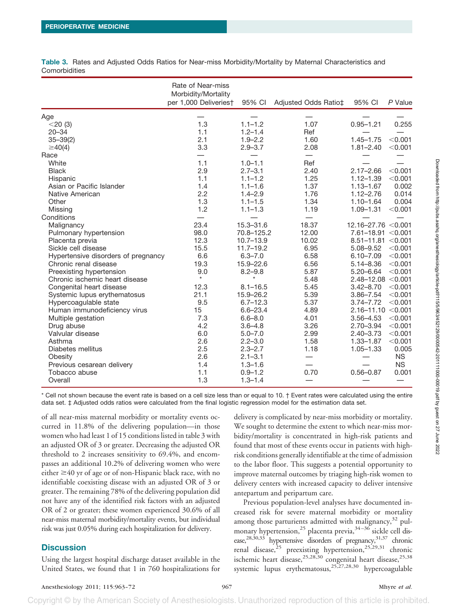|                                     | Rate of Near-miss<br>Morbidity/Mortality<br>per 1,000 Deliveries† | 95% CI        | Adjusted Odds Ratio‡ | 95% CI                   | P Value   |
|-------------------------------------|-------------------------------------------------------------------|---------------|----------------------|--------------------------|-----------|
| Age                                 |                                                                   |               |                      |                          |           |
| $<$ 20 (3)                          | 1.3                                                               | $1.1 - 1.2$   | 1.07                 | $0.95 - 1.21$            | 0.255     |
| $20 - 34$                           | 1.1                                                               | $1.2 - 1.4$   | Ref                  |                          |           |
| $35 - 39(2)$                        | 2.1                                                               | $1.9 - 2.2$   | 1.60                 | $1.45 - 1.75$            | < 0.001   |
| $\geq 40(4)$                        | 3.3                                                               | $2.9 - 3.7$   | 2.08                 | $1.81 - 2.40$            | < 0.001   |
| Race                                |                                                                   |               | —                    |                          |           |
| White                               | 1.1                                                               | $1.0 - 1.1$   | Ref                  |                          |           |
| <b>Black</b>                        | 2.9                                                               | $2.7 - 3.1$   | 2.40                 | $2.17 - 2.66$            | < 0.001   |
| Hispanic                            | 1.1                                                               | $1.1 - 1.2$   | 1.25                 | $1.12 - 1.39$            | < 0.001   |
| Asian or Pacific Islander           | 1.4                                                               | $1.1 - 1.6$   | 1.37                 | $1.13 - 1.67$            | 0.002     |
| Native American                     | 2.2                                                               | $1.4 - 2.9$   | 1.76                 | $1.12 - 2.76$            | 0.014     |
| Other                               | 1.3                                                               | $1.1 - 1.5$   | 1.34                 | $1.10 - 1.64$            | 0.004     |
| Missing                             | 1.2                                                               | $1.1 - 1.3$   | 1.19                 | $1.09 - 1.31$            | < 0.001   |
| Conditions                          |                                                                   |               |                      |                          |           |
| Malignancy                          | 23.4                                                              | $15.3 - 31.6$ | 18.37                | $12.16 - 27.76 < 0.001$  |           |
| Pulmonary hypertension              | 98.0                                                              | 70.8-125.2    | 12.00                | $7.61 - 18.91 < 0.001$   |           |
| Placenta previa                     | 12.3                                                              | $10.7 - 13.9$ | 10.02                | $8.51 - 11.81 < 0.001$   |           |
| Sickle cell disease                 | 15.5                                                              | $11.7 - 19.2$ | 6.95                 | 5.08-9.52                | < 0.001   |
| Hypertensive disorders of pregnancy | 6.6                                                               | $6.3 - 7.0$   | 6.58                 | $6.10 - 7.09$            | < 0.001   |
| Chronic renal disease               | 19.3                                                              | 15.9-22.6     | 6.56                 | $5.14 - 8.36$            | < 0.001   |
| Preexisting hypertension            | 9.0                                                               | $8.2 - 9.8$   | 5.87                 | $5.20 - 6.64$            | < 0.001   |
| Chronic ischemic heart disease      | $\star$                                                           | $\star$       | 5.48                 | $2.48 - 12.08 < 0.001$   |           |
| Congenital heart disease            | 12.3                                                              | $8.1 - 16.5$  | 5.45                 | $3.42 - 8.70$            | < 0.001   |
| Systemic lupus erythematosus        | 21.1                                                              | 15.9-26.2     | 5.39                 | $3.86 - 7.54$            | < 0.001   |
| Hypercoagulable state               | 9.5                                                               | $6.7 - 12.3$  | 5.37                 | $3.74 - 7.72$            | < 0.001   |
| Human immunodeficiency virus        | 15                                                                | $6.6 - 23.4$  | 4.89                 | $2.16 - 11.10 \le 0.001$ |           |
| Multiple gestation                  | 7.3                                                               | $6.6 - 8.0$   | 4.01                 | $3.56 - 4.53$            | < 0.001   |
| Drug abuse                          | 4.2                                                               | $3.6 - 4.8$   | 3.26                 | $2.70 - 3.94$            | $<$ 0.001 |
| Valvular disease                    | 6.0                                                               | $5.0 - 7.0$   | 2.99                 | $2.40 - 3.73$            | < 0.001   |
| Asthma                              | 2.6                                                               | $2.2 - 3.0$   | 1.58                 | $1.33 - 1.87$            | < 0.001   |
| Diabetes mellitus                   | 2.5                                                               | $2.3 - 2.7$   | 1.18                 | $1.05 - 1.33$            | 0.005     |
| Obesity                             | 2.6                                                               | $2.1 - 3.1$   |                      |                          | <b>NS</b> |
| Previous cesarean delivery          | 1.4                                                               | $1.3 - 1.6$   |                      |                          | <b>NS</b> |
| Tobacco abuse                       | 1.1                                                               | $0.9 - 1.2$   | 0.70                 | $0.56 - 0.87$            | 0.001     |
| Overall                             | 1.3                                                               | $1.3 - 1.4$   |                      |                          |           |

**Table 3.** Rates and Adjusted Odds Ratios for Near-miss Morbidity/Mortality by Maternal Characteristics and **Comorbidities** 

\* Cell not shown because the event rate is based on a cell size less than or equal to 10. † Event rates were calculated using the entire data set. ‡ Adjusted odds ratios were calculated from the final logistic regression model for the estimation data set.

of all near-miss maternal morbidity or mortality events occurred in 11.8% of the delivering population—in those women who had least 1 of 15 conditions listed in table 3 with an adjusted OR of 3 or greater. Decreasing the adjusted OR threshold to 2 increases sensitivity to 69.4%, and encompasses an additional 10.2% of delivering women who were either  $\geq 40$  yr of age or of non-Hispanic black race, with no identifiable coexisting disease with an adjusted OR of 3 or greater. The remaining 78% of the delivering population did not have any of the identified risk factors with an adjusted OR of 2 or greater; these women experienced 30.6% of all near-miss maternal morbidity/mortality events, but individual risk was just 0.05% during each hospitalization for delivery.

# **Discussion**

Using the largest hospital discharge dataset available in the United States, we found that 1 in 760 hospitalizations for

delivery is complicated by near-miss morbidity or mortality. We sought to determine the extent to which near-miss morbidity/mortality is concentrated in high-risk patients and found that most of these events occur in patients with highrisk conditions generally identifiable at the time of admission to the labor floor. This suggests a potential opportunity to improve maternal outcomes by triaging high-risk women to delivery centers with increased capacity to deliver intensive antepartum and peripartum care.

Previous population-level analyses have documented increased risk for severe maternal morbidity or mortality among those parturients admitted with malignancy,<sup>32</sup> pulmonary hypertension,<sup>25</sup> placenta previa,<sup>34-36</sup> sickle cell disease,<sup>28,30,33</sup> hypertensive disorders of pregnancy,<sup>31,37</sup> chronic renal disease,25 preexisting hypertension,25,29,31 chronic ischemic heart disease,<sup>25,28,30</sup> congenital heart disease,<sup>25,38</sup> systemic lupus erythematosus,<sup>25,27,28,30</sup> hypercoagulable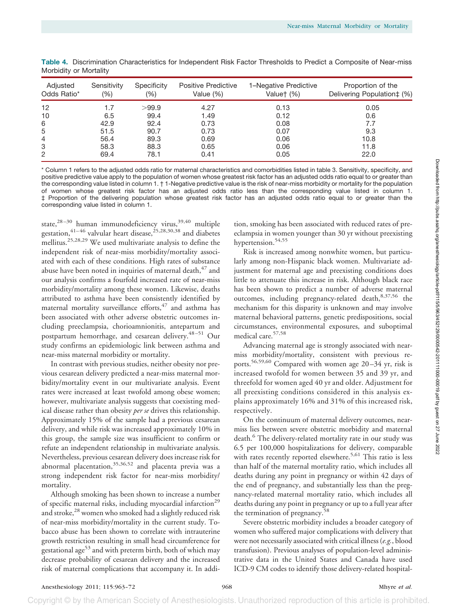| Adjusted<br>Odds Ratio* | Sensitivity<br>(%) | Specificity<br>$(\% )$ | Positive Predictive<br>Value (%) | 1-Negative Predictive<br>Valuet (%) | Proportion of the<br>Delivering Population‡ (%) |
|-------------------------|--------------------|------------------------|----------------------------------|-------------------------------------|-------------------------------------------------|
| 12                      | 1.7                | >99.9                  | 4.27                             | 0.13                                | 0.05                                            |
| 10                      | 6.5                | 99.4                   | 1.49                             | 0.12                                | 0.6                                             |
| 6                       | 42.9               | 92.4                   | 0.73                             | 0.08                                | 7.7                                             |
| 5                       | 51.5               | 90.7                   | 0.73                             | 0.07                                | 9.3                                             |
| 4                       | 56.4               | 89.3                   | 0.69                             | 0.06                                | 10.8                                            |
| 3                       | 58.3               | 88.3                   | 0.65                             | 0.06                                | 11.8                                            |
| 2                       | 69.4               | 78.1                   | 0.41                             | 0.05                                | 22.0                                            |

**Table 4.** Discrimination Characteristics for Independent Risk Factor Thresholds to Predict a Composite of Near-miss Morbidity or Mortality

\* Column 1 refers to the adjusted odds ratio for maternal characteristics and comorbidities listed in table 3. Sensitivity, specificity, and positive predictive value apply to the population of women whose greatest risk factor has an adjusted odds ratio equal to or greater than the corresponding value listed in column 1. † 1-Negative predictive value is the risk of near-miss morbidity or mortality for the population of women whose greatest risk factor has an adjusted odds ratio less than the corresponding value listed in column 1. ‡ Proportion of the delivering population whose greatest risk factor has an adjusted odds ratio equal to or greater than the corresponding value listed in column 1.

state, $28-30$  human immunodeficiency virus,  $39,40$  multiple gestation,<sup>41–46</sup> valvular heart disease,<sup>25,28,30,38</sup> and diabetes mellitus.25,28,29 We used multivariate analysis to define the independent risk of near-miss morbidity/mortality associated with each of these conditions. High rates of substance abuse have been noted in inquiries of maternal death, $47$  and our analysis confirms a fourfold increased rate of near-miss morbidity/mortality among these women. Likewise, deaths attributed to asthma have been consistently identified by maternal mortality surveillance efforts, $47$  and asthma has been associated with other adverse obstetric outcomes including preeclampsia, chorioamnionitis, antepartum and postpartum hemorrhage, and cesarean delivery.<sup>48-51</sup> Our study confirms an epidemiologic link between asthma and near-miss maternal morbidity or mortality.

In contrast with previous studies, neither obesity nor previous cesarean delivery predicted a near-miss maternal morbidity/mortality event in our multivariate analysis. Event rates were increased at least twofold among obese women; however, multivariate analysis suggests that coexisting medical disease rather than obesity *per se* drives this relationship. Approximately 15% of the sample had a previous cesarean delivery, and while risk was increased approximately 10% in this group, the sample size was insufficient to confirm or refute an independent relationship in multivariate analysis. Nevertheless, previous cesarean delivery does increase risk for abnormal placentation,  $35,36,52$  and placenta previa was a strong independent risk factor for near-miss morbidity/ mortality.

Although smoking has been shown to increase a number of specific maternal risks, including myocardial infarction<sup>29</sup> and stroke,<sup>28</sup> women who smoked had a slightly reduced risk of near-miss morbidity/mortality in the current study. Tobacco abuse has been shown to correlate with intrauterine growth restriction resulting in small head circumference for gestational age<sup>53</sup> and with preterm birth, both of which may decrease probability of cesarean delivery and the increased risk of maternal complications that accompany it. In addi-

tion, smoking has been associated with reduced rates of preeclampsia in women younger than 30 yr without preexisting hypertension.<sup>54,55</sup>

Risk is increased among nonwhite women, but particularly among non-Hispanic black women. Multivariate adjustment for maternal age and preexisting conditions does little to attenuate this increase in risk. Although black race has been shown to predict a number of adverse maternal outcomes, including pregnancy-related death, 8,37,56 the mechanism for this disparity is unknown and may involve maternal behavioral patterns, genetic predispositions, social circumstances, environmental exposures, and suboptimal medical care.<sup>57,58</sup>

Advancing maternal age is strongly associated with nearmiss morbidity/mortality, consistent with previous reports.56,59,60 Compared with women age 20 –34 yr, risk is increased twofold for women between 35 and 39 yr, and threefold for women aged 40 yr and older. Adjustment for all preexisting conditions considered in this analysis explains approximately 16% and 31% of this increased risk, respectively.

On the continuum of maternal delivery outcomes, nearmiss lies between severe obstetric morbidity and maternal death.<sup>6</sup> The delivery-related mortality rate in our study was 6.5 per 100,000 hospitalizations for delivery, comparable with rates recently reported elsewhere.<sup>5,61</sup> This ratio is less than half of the maternal mortality ratio, which includes all deaths during any point in pregnancy or within 42 days of the end of pregnancy, and substantially less than the pregnancy-related maternal mortality ratio, which includes all deaths during any point in pregnancy or up to a full year after the termination of pregnancy.<sup>58</sup>

Severe obstetric morbidity includes a broader category of women who suffered major complications with delivery that were not necessarily associated with critical illness (*e.g.*, blood transfusion). Previous analyses of population-level administrative data in the United States and Canada have used ICD-9 CM codes to identify those delivery-related hospital-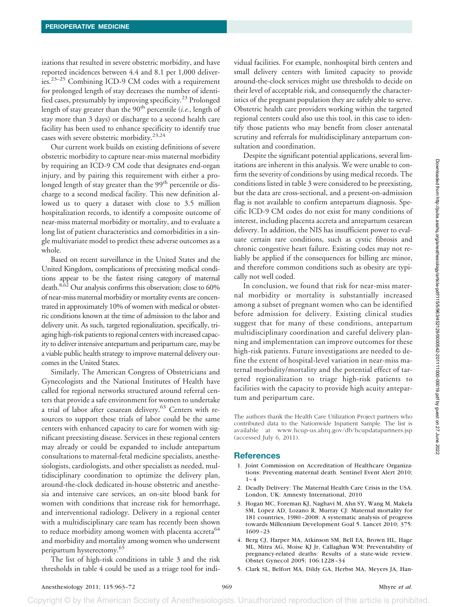izations that resulted in severe obstetric morbidity, and have reported incidences between 4.4 and 8.1 per 1,000 deliveries.<sup>23–25</sup> Combining ICD-9 CM codes with a requirement for prolonged length of stay decreases the number of identified cases, presumably by improving specificity.<sup>23</sup> Prolonged length of stay greater than the 90<sup>th</sup> percentile (*i.e.*, length of stay more than 3 days) or discharge to a second health care facility has been used to enhance specificity to identify true cases with severe obstetric morbidity.23,24

Our current work builds on existing definitions of severe obstetric morbidity to capture near-miss maternal morbidity by requiring an ICD-9 CM code that designates end-organ injury, and by pairing this requirement with either a prolonged length of stay greater than the 99<sup>th</sup> percentile or discharge to a second medical facility. This new definition allowed us to query a dataset with close to 3.5 million hospitalization records, to identify a composite outcome of near-miss maternal morbidity or mortality, and to evaluate a long list of patient characteristics and comorbidities in a single multivariate model to predict these adverse outcomes as a whole.

Based on recent surveillance in the United States and the United Kingdom, complications of preexisting medical conditions appear to be the fastest rising category of maternal death.<sup>8,62</sup> Our analysis confirms this observation; close to 60% of near-miss maternal morbidity or mortality events are concentrated in approximately 10% of women with medical or obstetric conditions known at the time of admission to the labor and delivery unit. As such, targeted regionalization, specifically, triaging high-risk patients to regional centers with increased capacity to deliver intensive antepartum and peripartum care, may be a viable public health strategy to improve maternal delivery outcomes in the United States.

Similarly, The American Congress of Obstetricians and Gynecologists and the National Institutes of Health have called for regional networks structured around referral centers that provide a safe environment for women to undertake a trial of labor after cesarean delivery.<sup>63</sup> Centers with resources to support these trials of labor could be the same centers with enhanced capacity to care for women with significant preexisting disease. Services in these regional centers may already or could be expanded to include antepartum consultations to maternal-fetal medicine specialists, anesthesiologists, cardiologists, and other specialists as needed, multidisciplinary coordination to optimize the delivery plan, around-the-clock dedicated in-house obstetric and anesthesia and intensive care services, an on-site blood bank for women with conditions that increase risk for hemorrhage, and interventional radiology. Delivery in a regional center with a multidisciplinary care team has recently been shown to reduce morbidity among women with placenta accreta<sup>64</sup> and morbidity and mortality among women who underwent peripartum hysterectomy.65

The list of high-risk conditions in table 3 and the risk thresholds in table 4 could be used as a triage tool for indi-

vidual facilities. For example, nonhospital birth centers and small delivery centers with limited capacity to provide around-the-clock services might use thresholds to decide on their level of acceptable risk, and consequently the characteristics of the pregnant population they are safely able to serve. Obstetric health care providers working within the targeted regional centers could also use this tool, in this case to identify those patients who may benefit from closer antenatal scrutiny and referrals for multidisciplinary antepartum consultation and coordination.

Despite the significant potential applications, several limitations are inherent in this analysis. We were unable to confirm the severity of conditions by using medical records. The conditions listed in table 3 were considered to be preexisting, but the data are cross-sectional, and a present-on-admission flag is not available to confirm antepartum diagnosis. Specific ICD-9 CM codes do not exist for many conditions of interest, including placenta accreta and antepartum cesarean delivery. In addition, the NIS has insufficient power to evaluate certain rare conditions, such as cystic fibrosis and chronic congestive heart failure. Existing codes may not reliably be applied if the consequences for billing are minor, and therefore common conditions such as obesity are typically not well coded.

In conclusion, we found that risk for near-miss maternal morbidity or mortality is substantially increased among a subset of pregnant women who can be identified before admission for delivery. Existing clinical studies suggest that for many of these conditions, antepartum multidisciplinary coordination and careful delivery planning and implementation can improve outcomes for these high-risk patients. Future investigations are needed to define the extent of hospital-level variation in near-miss maternal morbidity/mortality and the potential effect of targeted regionalization to triage high-risk patients to facilities with the capacity to provide high acuity antepartum and peripartum care.

The authors thank the Health Care Utilization Project partners who contributed data to the Nationwide Inpatient Sample. The list is available at www.hcup-us.ahrq.gov/db/hcupdatapartners.jsp (accessed July 6, 2011).

#### **References**

- 1. Joint Commission on Accreditation of Healthcare Organizations: Preventing maternal death. Sentinel Event Alert 2010;  $1 - 4$
- 2. Deadly Delivery: The Maternal Health Care Crisis in the USA. London, UK: Amnesty International, 2010
- 3. Hogan MC, Foreman KJ, Naghavi M, Ahn SY, Wang M, Makela SM, Lopez AD, Lozano R, Murray CJ: Maternal mortality for 181 countries, 1980 –2008: A systematic analysis of progress towards Millennium Development Goal 5. Lancet 2010; 375: 1609 –23
- 4. Berg CJ, Harper MA, Atkinson SM, Bell EA, Brown HL, Hage ML, Mitra AG, Moise KJ Jr, Callaghan WM: Preventability of pregnancy-related deaths: Results of a state-wide review. Obstet Gynecol 2005; 106:1228 –34
- 5. Clark SL, Belfort MA, Dildy GA, Herbst MA, Meyers JA, Han-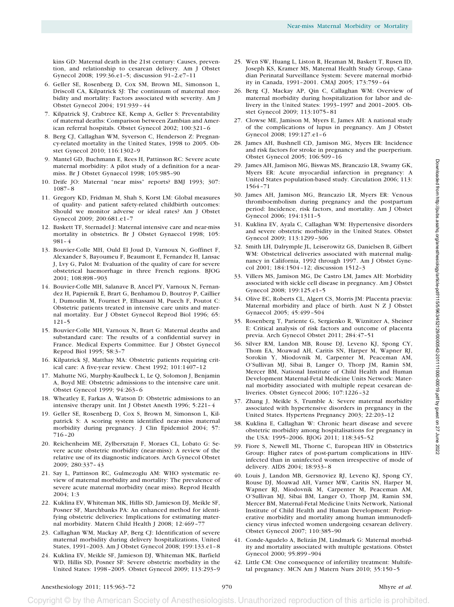kins GD: Maternal death in the 21st century: Causes, prevention, and relationship to cesarean delivery. Am J Obstet Gynecol 2008; 199:36.e1–5; discussion 91–2.e7–11

- 6. Geller SE, Rosenberg D, Cox SM, Brown ML, Simonson L, Driscoll CA, Kilpatrick SJ: The continuum of maternal morbidity and mortality: Factors associated with severity. Am J Obstet Gynecol 2004; 191:939 – 44
- 7. Kilpatrick SJ, Crabtree KE, Kemp A, Geller S: Preventability of maternal deaths: Comparison between Zambian and American referral hospitals. Obstet Gynecol 2002; 100:321– 6
- 8. Berg CJ, Callaghan WM, Syverson C, Henderson Z: Pregnancy-related mortality in the United States, 1998 to 2005. Obstet Gynecol 2010; 116:1302–9
- 9. Mantel GD, Buchmann E, Rees H, Pattinson RC: Severe acute maternal morbidity: A pilot study of a definition for a nearmiss. Br J Obstet Gynaecol 1998; 105:985–90
- 10. Drife JO: Maternal "near miss" reports? BMJ 1993; 307: 1087– 8
- 11. Gregory KD, Fridman M, Shah S, Korst LM: Global measures of quality- and patient safety-related childbirth outcomes: Should we monitor adverse or ideal rates? Am J Obstet Gynecol 2009; 200:681.e1–7
- 12. Baskett TF, Sternadel J: Maternal intensive care and near-miss mortality in obstetrics. Br J Obstet Gynaecol 1998; 105:  $981 - 4$
- 13. Bouvier-Colle MH, Ould El Joud D, Varnoux N, Goffinet F, Alexander S, Bayoumeu F, Beaumont E, Fernandez H, Lansac J, Lvy G, Palot M: Evaluation of the quality of care for severe obstetrical haemorrhage in three French regions. BJOG 2001; 108:898 –903
- 14. Bouvier-Colle MH, Salanave B, Ancel PY, Varnoux N, Fernandez H, Papiernik E, Brart G, Benhamou D, Boutroy P, Caillier I, Dumoulin M, Fournet P, Elhassani M, Puech F, Poutot C: Obstetric patients treated in intensive care units and maternal mortality. Eur J Obstet Gynecol Reprod Biol 1996; 65: 121–5
- 15. Bouvier-Colle MH, Varnoux N, Brart G: Maternal deaths and substandard care: The results of a confidential survey in France. Medical Experts Committee. Eur J Obstet Gynecol Reprod Biol 1995; 58:3–7
- 16. Kilpatrick SJ, Matthay MA: Obstetric patients requiring critical care: A five-year review. Chest 1992; 101:1407–12
- 17. Mahutte NG, Murphy-Kaulbeck L, Le Q, Solomon J, Benjamin A, Boyd ME: Obstetric admissions to the intensive care unit. Obstet Gynecol 1999; 94:263– 6
- 18. Wheatley E, Farkas A, Watson D: Obstetric admissions to an intensive therapy unit. Int J Obstet Anesth 1996; 5:221– 4
- 19. Geller SE, Rosenberg D, Cox S, Brown M, Simonson L, Kilpatrick S: A scoring system identified near-miss maternal morbidity during pregnancy. J Clin Epidemiol 2004; 57: 716 –20
- 20. Reichenheim ME, Zylbersztajn F, Moraes CL, Lobato G: Severe acute obstetric morbidity (near-miss): A review of the relative use of its diagnostic indicators. Arch Gynecol Obstet 2009; 280:337– 43
- 21. Say L, Pattinson RC, Gulmezoglu AM: WHO systematic review of maternal morbidity and mortality: The prevalence of severe acute maternal morbidity (near miss). Reprod Health 2004; 1:3
- 22. Kuklina EV, Whiteman MK, Hillis SD, Jamieson DJ, Meikle SF, Posner SF, Marchbanks PA: An enhanced method for identifying obstetric deliveries: Implications for estimating maternal morbidity. Matern Child Health J 2008; 12:469 –77
- 23. Callaghan WM, Mackay AP, Berg CJ: Identification of severe maternal morbidity during delivery hospitalizations, United States, 1991–2003. Am J Obstet Gynecol 2008; 199:133.e1– 8
- 24. Kuklina EV, Meikle SF, Jamieson DJ, Whiteman MK, Barfield WD, Hillis SD, Posner SF: Severe obstetric morbidity in the United States: 1998 –2005. Obstet Gynecol 2009; 113:293–9
- 25. Wen SW, Huang L, Liston R, Heaman M, Baskett T, Rusen ID, Joseph KS, Kramer MS, Maternal Health Study Group, Canadian Perinatal Surveillance System: Severe maternal morbidity in Canada, 1991–2001. CMAJ 2005; 173:759 – 64
- 26. Berg CJ, Mackay AP, Qin C, Callaghan WM: Overview of maternal morbidity during hospitalization for labor and delivery in the United States: 1993–1997 and 2001–2005. Obstet Gynecol 2009; 113:1075– 81
- 27. Clowse ME, Jamison M, Myers E, James AH: A national study of the complications of lupus in pregnancy. Am J Obstet Gynecol 2008; 199:127.e1– 6
- 28. James AH, Bushnell CD, Jamison MG, Myers ER: Incidence and risk factors for stroke in pregnancy and the puerperium. Obstet Gynecol 2005; 106:509 –16
- 29. James AH, Jamison MG, Biswas MS, Brancazio LR, Swamy GK, Myers ER: Acute myocardial infarction in pregnancy: A United States population-based study. Circulation 2006; 113: 1564 –71
- 30. James AH, Jamison MG, Brancazio LR, Myers ER: Venous thromboembolism during pregnancy and the postpartum period: Incidence, risk factors, and mortality. Am J Obstet Gynecol 2006; 194:1311–5
- 31. Kuklina EV, Ayala C, Callaghan WM: Hypertensive disorders and severe obstetric morbidity in the United States. Obstet Gynecol 2009; 113:1299 –306
- 32. Smith LH, Dalrymple JL, Leiserowitz GS, Danielsen B, Gilbert WM: Obstetrical deliveries associated with maternal malignancy in California, 1992 through 1997. Am J Obstet Gynecol 2001; 184:1504 –12; discussion 1512–3
- 33. Villers MS, Jamison MG, De Castro LM, James AH: Morbidity associated with sickle cell disease in pregnancy. Am J Obstet Gynecol 2008; 199:125.e1–5
- 34. Olive EC, Roberts CL, Algert CS, Morris JM: Placenta praevia: Maternal morbidity and place of birth. Aust N Z J Obstet Gynaecol 2005; 45:499 –504
- 35. Rosenberg T, Pariente G, Sergienko R, Wiznitzer A, Sheiner E: Critical analysis of risk factors and outcome of placenta previa. Arch Gynecol Obstet 2011; 284:47–51
- 36. Silver RM, Landon MB, Rouse DJ, Leveno KJ, Spong CY, Thom EA, Moawad AH, Caritis SN, Harper M, Wapner RJ, Sorokin Y, Miodovnik M, Carpenter M, Peaceman AM, O'Sullivan MJ, Sibai B, Langer O, Thorp JM, Ramin SM, Mercer BM, National Institute of Child Health and Human Development Maternal-Fetal Medicine Units Network: Maternal morbidity associated with multiple repeat cesarean deliveries. Obstet Gynecol 2006; 107:1226 –32
- 37. Zhang J, Meikle S, Trumble A: Severe maternal morbidity associated with hypertensive disorders in pregnancy in the United States. Hypertens Pregnancy 2003; 22:203–12
- 38. Kuklina E, Callaghan W: Chronic heart disease and severe obstetric morbidity among hospitalisations for pregnancy in the USA: 1995–2006. BJOG 2011; 118:345–52
- 39. Fiore S, Newell ML, Thorne C, European HIV in Obstetrics Group: Higher rates of post-partum complications in HIVinfected than in uninfected women irrespective of mode of delivery. AIDS 2004; 18:933– 8
- 40. Louis J, Landon MB, Gersnoviez RJ, Leveno KJ, Spong CY, Rouse DJ, Moawad AH, Varner MW, Caritis SN, Harper M, Wapner RJ, Miodovnik M, Carpenter M, Peaceman AM, O'Sullivan MJ, Sibai BM, Langer O, Thorp JM, Ramin SM, Mercer BM, Maternal-Fetal Medicine Units Network, National Institute of Child Health and Human Development: Perioperative morbidity and mortality among human immunodeficiency virus infected women undergoing cesarean delivery. Obstet Gynecol 2007; 110:385–90
- 41. Conde-Agudelo A, Belizán JM, Lindmark G: Maternal morbidity and mortality associated with multiple gestations. Obstet Gynecol 2000; 95:899 –904
- 42. Little CM: One consequence of infertility treatment: Multifetal pregnancy. MCN Am J Matern Nurs 2010; 35:150 –5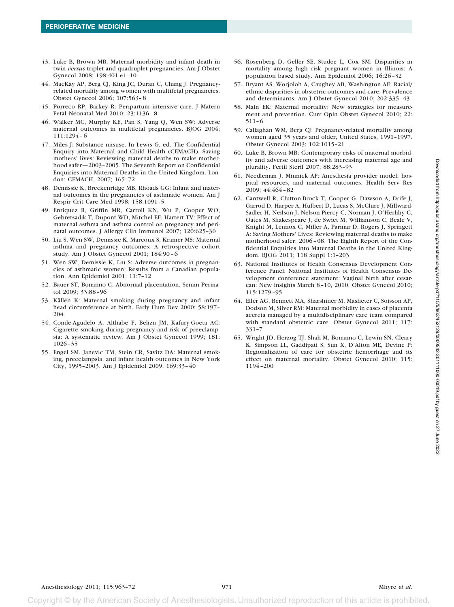- 43. Luke B, Brown MB: Maternal morbidity and infant death in twin *versus* triplet and quadruplet pregnancies. Am J Obstet Gynecol 2008; 198:401.e1–10
- 44. MacKay AP, Berg CJ, King JC, Duran C, Chang J: Pregnancyrelated mortality among women with multifetal pregnancies. Obstet Gynecol 2006; 107:563– 8
- 45. Porreco RP, Barkey R: Peripartum intensive care. J Matern Fetal Neonatal Med 2010; 23:1136 – 8
- 46. Walker MC, Murphy KE, Pan S, Yang Q, Wen SW: Adverse maternal outcomes in multifetal pregnancies. BJOG 2004; 111:1294 – 6
- 47. Miles J: Substance misuse. In Lewis G, ed. The Confidential Enquiry into Maternal and Child Health (CEMACH). Saving mothers' lives: Reviewing maternal deaths to make motherhood safer—2003–2005. The Seventh Report on Confidential Enquiries into Maternal Deaths in the United Kingdom. London: CEMACH, 2007; 165–72
- 48. Demissie K, Breckenridge MB, Rhoads GG: Infant and maternal outcomes in the pregnancies of asthmatic women. Am J Respir Crit Care Med 1998; 158:1091–5
- 49. Enriquez R, Griffin MR, Carroll KN, Wu P, Cooper WO, Gebretsadik T, Dupont WD, Mitchel EF, Hartert TV: Effect of maternal asthma and asthma control on pregnancy and perinatal outcomes. J Allergy Clin Immunol 2007; 120:625–30
- 50. Liu S, Wen SW, Demissie K, Marcoux S, Kramer MS: Maternal asthma and pregnancy outcomes: A retrospective cohort study. Am J Obstet Gynecol 2001; 184:90 – 6
- 51. Wen SW, Demissie K, Liu S: Adverse outcomes in pregnancies of asthmatic women: Results from a Canadian population. Ann Epidemiol 2001; 11:7–12
- 52. Bauer ST, Bonanno C: Abnormal placentation. Semin Perinatol 2009; 33:88 –96
- 53. Källén K: Maternal smoking during pregnancy and infant head circumference at birth. Early Hum Dev 2000; 58:197– 204
- 54. Conde-Agudelo A, Althabe F, Belizn JM, Kafury-Goeta AC: Cigarette smoking during pregnancy and risk of preeclampsia: A systematic review. Am J Obstet Gynecol 1999; 181: 1026 –35
- 55. Engel SM, Janevic TM, Stein CR, Savitz DA: Maternal smoking, preeclampsia, and infant health outcomes in New York City, 1995–2003. Am J Epidemiol 2009; 169:33– 40
- 56. Rosenberg D, Geller SE, Studee L, Cox SM: Disparities in mortality among high risk pregnant women in Illinois: A population based study. Ann Epidemiol 2006; 16:26 –32
- 57. Bryant AS, Worjoloh A, Caughey AB, Washington AE: Racial/ ethnic disparities in obstetric outcomes and care: Prevalence and determinants. Am J Obstet Gynecol 2010; 202:335– 43
- 58. Main EK: Maternal mortality: New strategies for measurement and prevention. Curr Opin Obstet Gynecol 2010; 22: 511– 6
- 59. Callaghan WM, Berg CJ: Pregnancy-related mortality among women aged 35 years and older, United States, 1991–1997. Obstet Gynecol 2003; 102:1015–21
- 60. Luke B, Brown MB: Contemporary risks of maternal morbidity and adverse outcomes with increasing maternal age and plurality. Fertil Steril 2007; 88:283–93
- 61. Needleman J, Minnick AF: Anesthesia provider model, hospital resources, and maternal outcomes. Health Serv Res 2009; 44:464 – 82
- 62. Cantwell R, Clutton-Brock T, Cooper G, Dawson A, Drife J, Garrod D, Harper A, Hulbert D, Lucas S, McClure J, Millward-Sadler H, Neilson J, Nelson-Piercy C, Norman J, O'Herlihy C, Oates M, Shakespeare J, de Swiet M, Williamson C, Beale V, Knight M, Lennox C, Miller A, Parmar D, Rogers J, Springett A: Saving Mothers' Lives: Reviewing maternal deaths to make motherhood safer: 2006 – 08. The Eighth Report of the Confidential Enquiries into Maternal Deaths in the United Kingdom. BJOG 2011; 118 Suppl 1:1–203
- 63. National Institutes of Health Consensus Development Conference Panel: National Institutes of Health Consensus Development conference statement: Vaginal birth after cesarean: New insights March 8 –10, 2010. Obstet Gynecol 2010; 115:1279 –95
- 64. Eller AG, Bennett MA, Sharshiner M, Masheter C, Soisson AP, Dodson M, Silver RM: Maternal morbidity in cases of placenta accreta managed by a multidisciplinary care team compared with standard obstetric care. Obstet Gynecol 2011; 117: 331–7
- 65. Wright JD, Herzog TJ, Shah M, Bonanno C, Lewin SN, Cleary K, Simpson LL, Gaddipati S, Sun X, D'Alton ME, Devine P: Regionalization of care for obstetric hemorrhage and its effect on maternal mortality. Obstet Gynecol 2010; 115: 1194 –200